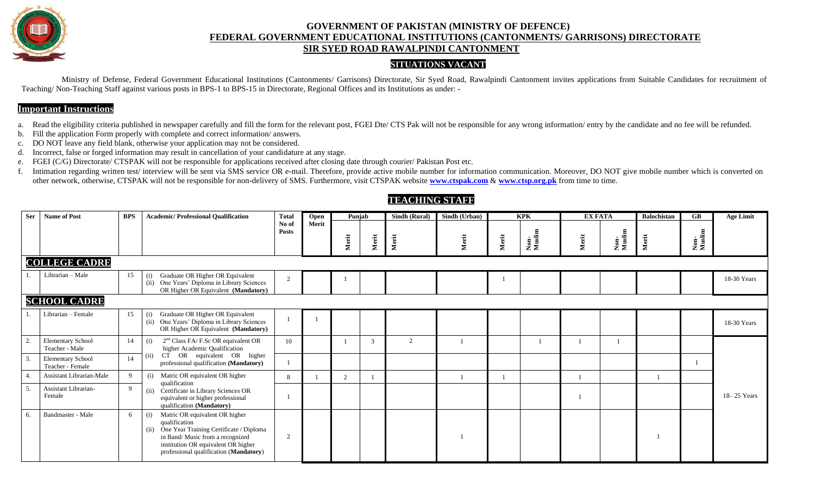

## **GOVERNMENT OF PAKISTAN (MINISTRY OF DEFENCE) FEDERAL GOVERNMENT EDUCATIONAL INSTITUTIONS (CANTONMENTS/ GARRISONS) DIRECTORATE SIR SYED ROAD RAWALPINDI CANTONMENT**

## **SITUATIONS VACANT**

Ministry of Defense, Federal Government Educational Institutions (Cantonments/ Garrisons) Directorate, Sir Syed Road, Rawalpindi Cantonment invites applications from Suitable Candidates for recruitment of Teaching/ Non-Teaching Staff against various posts in BPS-1 to BPS-15 in Directorate, Regional Offices and its Institutions as under: -

## **Important Instructions**

a. Read the eligibility criteria published in newspaper carefully and fill the form for the relevant post, FGEI Dte/ CTS Pak will not be responsible for any wrong information/ entry by the candidate and no fee will be refu

- b. Fill the application Form properly with complete and correct information/ answers.
- c. DO NOT leave any field blank, otherwise your application may not be considered.
- d. Incorrect, false or forged information may result in cancellation of your candidature at any stage.
- e. FGEI (C/G) Directorate/ CTSPAK will not be responsible for applications received after closing date through courier/ Pakistan Post etc.
- f. Intimation regarding written test/ interview will be sent via SMS service OR e-mail. Therefore, provide active mobile number for information communication. Moreover, DO NOT give mobile number which is converted on other network, otherwise, CTSPAK will not be responsible for non-delivery of SMS. Furthermore, visit CTSPAK website **[www.ctspak.com](http://www.ctspak.com/)** & **[www.ctsp.org.pk](http://www.ctsp.org.pk/)** from time to time.

| <b>Ser</b> | <b>Name of Post</b>                          | <b>BPS</b> | <b>Academic/Professional Qualification</b>                                                                                                                                                                                     | <b>Total</b>   | Open  | Punjab |       | Sindh (Rural)  | Sindh (Urban) |       | <b>KPK</b>     | <b>EX FATA</b> |                | <b>Balochistan</b> | $G$ <b>B</b>   | <b>Age Limit</b> |
|------------|----------------------------------------------|------------|--------------------------------------------------------------------------------------------------------------------------------------------------------------------------------------------------------------------------------|----------------|-------|--------|-------|----------------|---------------|-------|----------------|----------------|----------------|--------------------|----------------|------------------|
|            |                                              |            |                                                                                                                                                                                                                                | No of<br>Posts | Merit | Merit  | Merit | Merit          | Merit         | Merit | Non-<br>Muslim | Merit          | Non-<br>Muslim | Merit              | Non-<br>Muslim |                  |
|            | <b>COLLEGE CADRE</b>                         |            |                                                                                                                                                                                                                                |                |       |        |       |                |               |       |                |                |                |                    |                |                  |
|            | Librarian - Male                             | 15         | Graduate OR Higher OR Equivalent<br>(i)<br>(ii) One Years' Diploma in Library Sciences<br>OR Higher OR Equivalent (Mandatory)                                                                                                  | $\mathcal{D}$  |       |        |       |                |               |       |                |                |                |                    |                | 18-30 Years      |
|            | <b>SCHOOL CADRE</b>                          |            |                                                                                                                                                                                                                                |                |       |        |       |                |               |       |                |                |                |                    |                |                  |
|            | Librarian - Female                           | 15         | Graduate OR Higher OR Equivalent<br>(i)<br>One Years' Diploma in Library Sciences<br>(ii)<br>OR Higher OR Equivalent (Mandatory)                                                                                               |                |       |        |       |                |               |       |                |                |                |                    |                | 18-30 Years      |
| 2.         | <b>Elementary School</b><br>Teacher - Male   | 14         | $2nd Class FA/F.Sc OR equivalent OR$<br>(i)<br>higher Academic Qualification                                                                                                                                                   | 10             |       |        | 3     | $\overline{2}$ |               |       |                |                |                |                    |                |                  |
| 3.         | <b>Elementary School</b><br>Teacher - Female | 14         | CT OR equivalent OR higher<br>(ii)<br>professional qualification (Mandatory)                                                                                                                                                   |                |       |        |       |                |               |       |                |                |                |                    |                |                  |
|            | Assistant Librarian-Male                     | 9          | Matric OR equivalent OR higher<br>(i)<br>qualification                                                                                                                                                                         | 8              |       | 2      |       |                |               |       |                |                |                |                    |                |                  |
| 5.         | Assistant Librarian-<br>Female               | 9          | (ii) Certificate in Library Sciences OR<br>equivalent or higher professional<br>qualification (Mandatory)                                                                                                                      |                |       |        |       |                |               |       |                |                |                |                    |                | $18 - 25$ Years  |
| 6.         | Bandmaster - Male                            | 6          | Matric OR equivalent OR higher<br>(i)<br>qualification<br>One Year Training Certificate / Diploma<br>(ii)<br>in Band/ Music from a recognized<br>institution OR equivalent OR higher<br>professional qualification (Mandatory) | 2              |       |        |       |                |               |       |                |                |                |                    |                |                  |

## **TEACHING STAFF**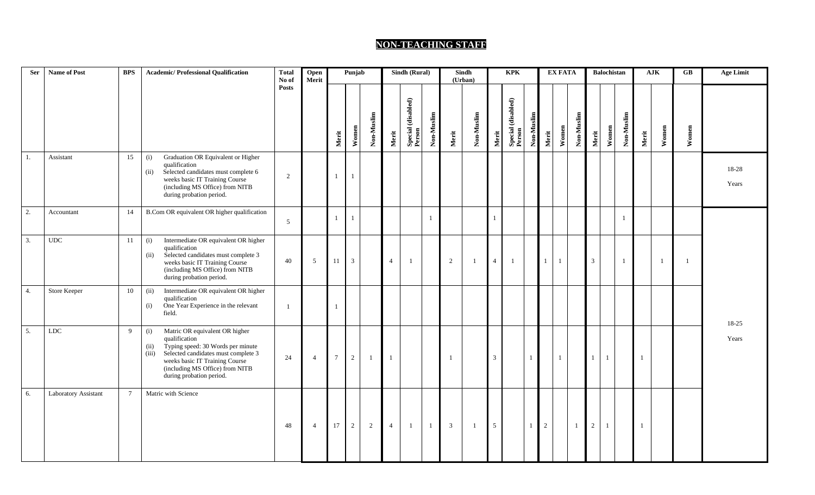## **NON-TEACHING STAFF**

| <b>Ser</b> | Name of Post         | <b>BPS</b>      | <b>Academic/Professional Qualification</b>                                                                                                                                                                                                           | <b>Total</b><br>No of | Punjab<br>Open<br>Merit |                 | Sindh (Rural)  |                |                | Sindh<br>(Urban)             |              | <b>KPK</b>     |                |                 | <b>EX FATA</b>               |                |                |              | Balochistan    |                | ${\bf A} {\bf J} {\bf K}$ |                | <b>Age Limit</b> |       |                |
|------------|----------------------|-----------------|------------------------------------------------------------------------------------------------------------------------------------------------------------------------------------------------------------------------------------------------------|-----------------------|-------------------------|-----------------|----------------|----------------|----------------|------------------------------|--------------|----------------|----------------|-----------------|------------------------------|----------------|----------------|--------------|----------------|----------------|---------------------------|----------------|------------------|-------|----------------|
|            |                      |                 |                                                                                                                                                                                                                                                      | <b>Posts</b>          |                         | Merit           | Women          | Non-Muslim     | Merit          | Special (disabled)<br>Person | Non-Muslim   | Merit          | Non-Muslim     | Merit           | Special (disabled)<br>Person | Non-Muslim     | Merit          | Women        | Non-Muslim     | Merit          | Non-Muslim<br>Women       | Merit          | Women            | Women |                |
| 1.         | Assistant            | 15              | Graduation OR Equivalent or Higher<br>(i)<br>qualification<br>Selected candidates must complete 6<br>(ii)<br>weeks basic IT Training Course<br>(including MS Office) from NITB<br>during probation period.                                           | 2                     |                         |                 | $\mathbf{1}$   |                |                |                              |              |                |                |                 |                              |                |                |              |                |                |                           |                |                  |       | 18-28<br>Years |
| 2.         | Accountant           | 14              | B.Com OR equivalent OR higher qualification                                                                                                                                                                                                          | 5                     |                         |                 | $\mathbf{1}$   |                |                |                              | -1           |                |                |                 |                              |                |                |              |                |                |                           |                |                  |       |                |
| 3.         | $_{\rm UDC}$         | 11              | Intermediate OR equivalent OR higher<br>(i)<br>qualification<br>Selected candidates must complete 3<br>(ii)<br>weeks basic IT Training Course<br>(including MS Office) from NITB<br>during probation period.                                         | 40                    | 5                       | 11              | 3              |                | $\overline{4}$ |                              |              | 2              | $\overline{1}$ | $\overline{4}$  | -1                           |                | $\mathbf{1}$   | 1            |                | $\mathbf{3}$   |                           |                |                  | -1    |                |
| 4.         | Store Keeper         | 10              | (ii)<br>Intermediate OR equivalent OR higher<br>qualification<br>One Year Experience in the relevant<br>(i)<br>field.                                                                                                                                | - 1                   |                         |                 |                |                |                |                              |              |                |                |                 |                              |                |                |              |                |                |                           |                |                  |       | 18-25          |
| 5.         | ${\rm LDC}$          | 9               | Matric OR equivalent OR higher<br>(i)<br>qualification<br>Typing speed: 30 Words per minute<br>(ii)<br>Selected candidates must complete 3<br>(iii)<br>weeks basic IT Training Course<br>(including MS Office) from NITB<br>during probation period. | 24                    | $\overline{4}$          | $7\overline{ }$ | $\overline{2}$ | $\overline{1}$ | $\mathbf{1}$   |                              |              | -1             |                | $\mathfrak{Z}$  |                              |                |                | $\mathbf{1}$ |                | $\mathbf{1}$   | $\mathbf{1}$              | $\overline{1}$ |                  |       | Years          |
| 6.         | Laboratory Assistant | $7\overline{ }$ | Matric with Science                                                                                                                                                                                                                                  | 48                    | $\overline{4}$          | 17              | $\overline{2}$ | 2              | $\overline{4}$ | -1                           | $\mathbf{1}$ | $\overline{3}$ | $\mathbf{1}$   | $5\overline{)}$ |                              | $\overline{1}$ | $\overline{2}$ |              | $\overline{1}$ | $\overline{2}$ | $\mathbf{1}$              | $\overline{1}$ |                  |       |                |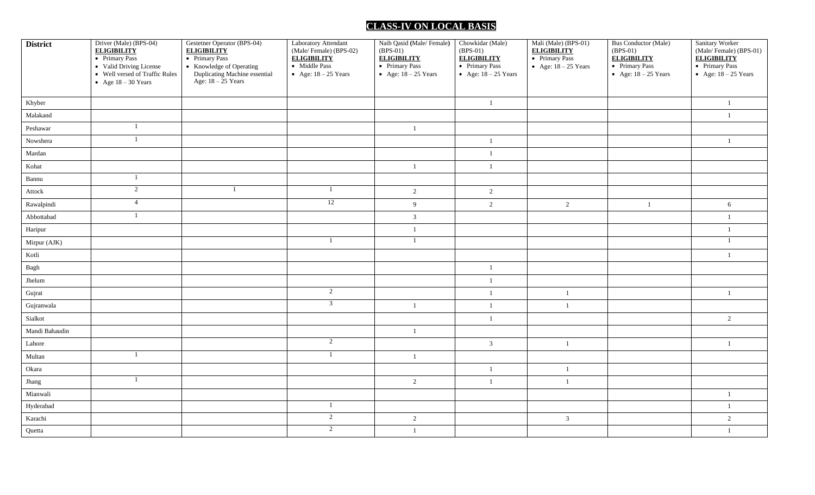# **CLASS-IV ON LOCAL BASIS**

| <b>District</b>         | Driver (Male) (BPS-04)<br><b>ELIGIBILITY</b><br>• Primary Pass<br>• Valid Driving License<br>• Well versed of Traffic Rules<br>• Age $18 - 30$ Years | Gestetner Operator (BPS-04)<br><b>ELIGIBILITY</b><br>• Primary Pass<br>• Knowledge of Operating<br>Duplicating Machine essential<br>Age: $18 - 25$ Years | Laboratory Attendant<br>(Male/Female) (BPS-02)<br><b>ELIGIBILITY</b><br>• Middle Pass<br>• Age: $18 - 25$ Years | Naib Qasid (Male/Female)<br>$(BPS-01)$<br><b>ELIGIBILITY</b><br>• Primary Pass<br>• Age: $18 - 25$ Years | Chowkidar (Male)<br>$(BPS-01)$<br><b>ELIGIBILITY</b><br>• Primary Pass<br>• Age: $18 - 25$ Years | Mali (Male) (BPS-01)<br><b>ELIGIBILITY</b><br>• Primary Pass<br>• Age: $18 - 25$ Years | <b>Bus Conductor (Male)</b><br>$(BPS-01)$<br><b>ELIGIBILITY</b><br>• Primary Pass<br>• Age: $18 - 25$ Years | Sanitary Worker<br>(Male/Female) (BPS-01)<br><b>ELIGIBILITY</b><br>• Primary Pass<br>• Age: $18 - 25$ Years |
|-------------------------|------------------------------------------------------------------------------------------------------------------------------------------------------|----------------------------------------------------------------------------------------------------------------------------------------------------------|-----------------------------------------------------------------------------------------------------------------|----------------------------------------------------------------------------------------------------------|--------------------------------------------------------------------------------------------------|----------------------------------------------------------------------------------------|-------------------------------------------------------------------------------------------------------------|-------------------------------------------------------------------------------------------------------------|
| Khyber                  |                                                                                                                                                      |                                                                                                                                                          |                                                                                                                 |                                                                                                          | $\mathbf{1}$                                                                                     |                                                                                        |                                                                                                             | $\mathbf{1}$                                                                                                |
| Malakand                |                                                                                                                                                      |                                                                                                                                                          |                                                                                                                 |                                                                                                          |                                                                                                  |                                                                                        |                                                                                                             | 1                                                                                                           |
| Peshawar                | 1                                                                                                                                                    |                                                                                                                                                          |                                                                                                                 | -1                                                                                                       |                                                                                                  |                                                                                        |                                                                                                             |                                                                                                             |
| Nowshera                | $\overline{1}$                                                                                                                                       |                                                                                                                                                          |                                                                                                                 |                                                                                                          | -1                                                                                               |                                                                                        |                                                                                                             | -1                                                                                                          |
| Mardan                  |                                                                                                                                                      |                                                                                                                                                          |                                                                                                                 |                                                                                                          | $\mathbf{1}$                                                                                     |                                                                                        |                                                                                                             |                                                                                                             |
| Kohat                   |                                                                                                                                                      |                                                                                                                                                          |                                                                                                                 | $\mathbf{1}$                                                                                             | $\mathbf{1}$                                                                                     |                                                                                        |                                                                                                             |                                                                                                             |
| Bannu                   | $\overline{1}$                                                                                                                                       |                                                                                                                                                          |                                                                                                                 |                                                                                                          |                                                                                                  |                                                                                        |                                                                                                             |                                                                                                             |
| Attock                  | $\overline{2}$                                                                                                                                       | -1                                                                                                                                                       | 1                                                                                                               | $\overline{2}$                                                                                           | $\overline{2}$                                                                                   |                                                                                        |                                                                                                             |                                                                                                             |
| Rawalpindi              | $\overline{4}$                                                                                                                                       |                                                                                                                                                          | 12                                                                                                              | 9                                                                                                        | $\overline{2}$                                                                                   | 2                                                                                      | $\mathbf{1}$                                                                                                | 6                                                                                                           |
| Abbottabad              |                                                                                                                                                      |                                                                                                                                                          |                                                                                                                 | $\overline{3}$                                                                                           |                                                                                                  |                                                                                        |                                                                                                             | $\mathbf{1}$                                                                                                |
| Haripur                 |                                                                                                                                                      |                                                                                                                                                          |                                                                                                                 | $\overline{1}$                                                                                           |                                                                                                  |                                                                                        |                                                                                                             | $\mathbf{1}$                                                                                                |
| Mirpur (AJK)            |                                                                                                                                                      |                                                                                                                                                          |                                                                                                                 | $\overline{1}$                                                                                           |                                                                                                  |                                                                                        |                                                                                                             |                                                                                                             |
| Kotli                   |                                                                                                                                                      |                                                                                                                                                          |                                                                                                                 |                                                                                                          |                                                                                                  |                                                                                        |                                                                                                             | $\mathbf{1}$                                                                                                |
| Bagh                    |                                                                                                                                                      |                                                                                                                                                          |                                                                                                                 |                                                                                                          | -1                                                                                               |                                                                                        |                                                                                                             |                                                                                                             |
| $J$ helum               |                                                                                                                                                      |                                                                                                                                                          |                                                                                                                 |                                                                                                          | $\mathbf{1}$                                                                                     |                                                                                        |                                                                                                             |                                                                                                             |
| Gujrat                  |                                                                                                                                                      |                                                                                                                                                          | $\overline{2}$                                                                                                  |                                                                                                          | $\mathbf{1}$                                                                                     | - 1                                                                                    |                                                                                                             | 1                                                                                                           |
| Gujranwala              |                                                                                                                                                      |                                                                                                                                                          | $\overline{3}$                                                                                                  | $\mathbf{1}$                                                                                             | $\mathbf{1}$                                                                                     | $\overline{1}$                                                                         |                                                                                                             |                                                                                                             |
| Sialkot                 |                                                                                                                                                      |                                                                                                                                                          |                                                                                                                 |                                                                                                          | $\mathbf{1}$                                                                                     |                                                                                        |                                                                                                             | $\overline{2}$                                                                                              |
| Mandi Bahaudin          |                                                                                                                                                      |                                                                                                                                                          |                                                                                                                 | $\overline{1}$                                                                                           |                                                                                                  |                                                                                        |                                                                                                             |                                                                                                             |
| Lahore                  |                                                                                                                                                      |                                                                                                                                                          | 2                                                                                                               |                                                                                                          | $\mathfrak{Z}$                                                                                   | $\overline{1}$                                                                         |                                                                                                             | $\mathbf{1}$                                                                                                |
| $\operatorname{Multan}$ | -1                                                                                                                                                   |                                                                                                                                                          | 1                                                                                                               | $\mathbf{1}$                                                                                             |                                                                                                  |                                                                                        |                                                                                                             |                                                                                                             |
| Okara                   |                                                                                                                                                      |                                                                                                                                                          |                                                                                                                 |                                                                                                          | -1                                                                                               | -1                                                                                     |                                                                                                             |                                                                                                             |
| Jhang                   | $\overline{1}$                                                                                                                                       |                                                                                                                                                          |                                                                                                                 | $\overline{2}$                                                                                           | $\mathbf{1}$                                                                                     | $\overline{1}$                                                                         |                                                                                                             |                                                                                                             |
| Mianwali                |                                                                                                                                                      |                                                                                                                                                          |                                                                                                                 |                                                                                                          |                                                                                                  |                                                                                        |                                                                                                             | $\overline{1}$                                                                                              |
| Hyderabad               |                                                                                                                                                      |                                                                                                                                                          |                                                                                                                 |                                                                                                          |                                                                                                  |                                                                                        |                                                                                                             | $\mathbf{1}$                                                                                                |
| Karachi                 |                                                                                                                                                      |                                                                                                                                                          | $\overline{2}$                                                                                                  | $\overline{2}$                                                                                           |                                                                                                  | $\overline{3}$                                                                         |                                                                                                             | $\overline{2}$                                                                                              |
| Quetta                  |                                                                                                                                                      |                                                                                                                                                          | $\overline{2}$                                                                                                  | $\mathbf{1}$                                                                                             |                                                                                                  |                                                                                        |                                                                                                             | $\mathbf{1}$                                                                                                |